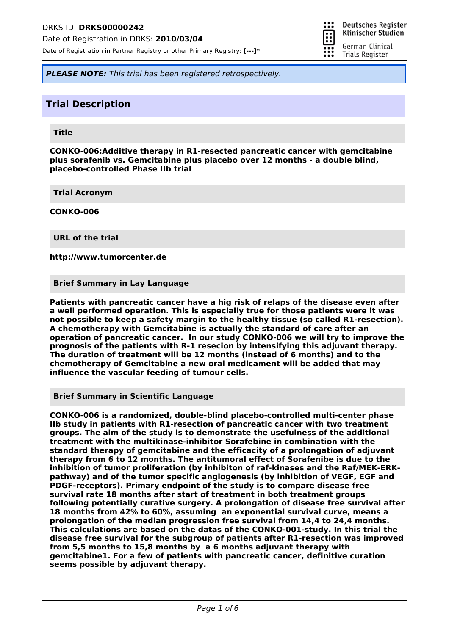Date of Registration in DRKS: **2010/03/04**

Date of Registration in Partner Registry or other Primary Registry: **[---]\***



**Deutsches Register** Klinischer Studien

German Clinical Trials Register

*PLEASE NOTE: This trial has been registered retrospectively.*

## **Trial Description**

#### **Title**

**CONKO-006:Additive therapy in R1-resected pancreatic cancer with gemcitabine plus sorafenib vs. Gemcitabine plus placebo over 12 months - a double blind, placebo-controlled Phase IIb trial**

**Trial Acronym**

**CONKO-006**

**URL of the trial**

**http://www.tumorcenter.de**

**Brief Summary in Lay Language**

**Patients with pancreatic cancer have a hig risk of relaps of the disease even after a well performed operation. This is especially true for those patients were it was not possible to keep a safety margin to the healthy tissue (so called R1-resection). A chemotherapy with Gemcitabine is actually the standard of care after an operation of pancreatic cancer. In our study CONKO-006 we will try to improve the prognosis of the patients with R-1 resecion by intensifying this adjuvant therapy. The duration of treatment will be 12 months (instead of 6 months) and to the chemotherapy of Gemcitabine a new oral medicament will be added that may influence the vascular feeding of tumour cells.**

**Brief Summary in Scientific Language**

**CONKO-006 is a randomized, double-blind placebo-controlled multi-center phase IIb study in patients with R1-resection of pancreatic cancer with two treatment groups. The aim of the study is to demonstrate the usefulness of the additional treatment with the multikinase-inhibitor Sorafebine in combination with the standard therapy of gemcitabine and the efficacity of a prolongation of adjuvant therapy from 6 to 12 months. The antitumoral effect of Sorafenibe is due to the inhibition of tumor proliferation (by inhibiton of raf-kinases and the Raf/MEK-ERKpathway) and of the tumor specific angiogenesis (by inhibition of VEGF, EGF and PDGF-receptors). Primary endpoint of the study is to compare disease free survival rate 18 months after start of treatment in both treatment groups following potentially curative surgery. A prolongation of disease free survival after 18 months from 42% to 60%, assuming an exponential survival curve, means a prolongation of the median progression free survival from 14,4 to 24,4 months. This calculations are based on the datas of the CONKO-001-study. In this trial the disease free survival for the subgroup of patients after R1-resection was improved from 5,5 months to 15,8 months by a 6 months adjuvant therapy with gemcitabine1. For a few of patients with pancreatic cancer, definitive curation seems possible by adjuvant therapy.**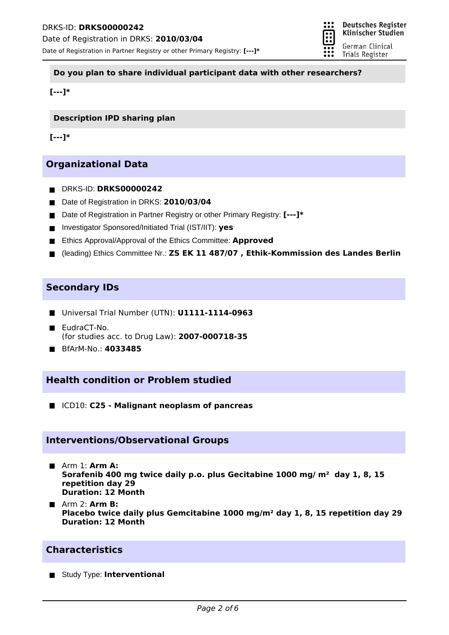

#### **Do you plan to share individual participant data with other researchers?**

**[---]\***

**Description IPD sharing plan**

**[---]\***

# **Organizational Data**

- DRKS-ID: **DRKS00000242**
- Date of Registration in DRKS: 2010/03/04
- Date of Registration in Partner Registry or other Primary Registry: **[---]**\*
- Investigator Sponsored/Initiated Trial (IST/IIT): **yes**
- **Ethics Approval/Approval of the Ethics Committee: Approved**
- (leading) Ethics Committee Nr.: **ZS EK 11 487/07 , Ethik-Kommission des Landes Berlin**

### **Secondary IDs**

- Universal Trial Number (UTN): **U1111-1114-0963**
- EudraCT-No. (for studies acc. to Drug Law): **2007-000718-35**
- BfArM-No.: **4033485**

## **Health condition or Problem studied**

ICD10: **C25 - Malignant neoplasm of pancreas**

### **Interventions/Observational Groups**

- Arm 1: **Arm A: Sorafenib 400 mg twice daily p.o. plus Gecitabine 1000 mg/ m² day 1, 8, 15 repetition day 29 Duration: 12 Month**
- Arm 2: **Arm B: Placebo twice daily plus Gemcitabine 1000 mg/m² day 1, 8, 15 repetition day 29 Duration: 12 Month**

# **Characteristics**

Study Type: **Interventional**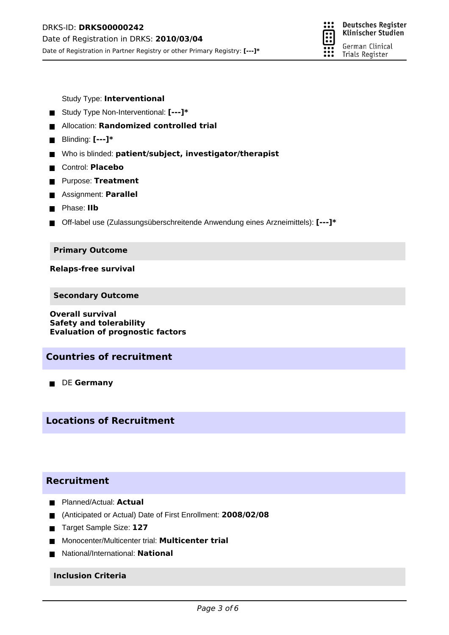

Study Type: **Interventional**

- Study Type Non-Interventional: **[---]\***
- Allocation: **Randomized controlled trial**
- Blinding: **[---]\***
- Who is blinded: **patient/subject, investigator/therapist**
- Control: **Placebo**
- **Purpose: Treatment**
- Assignment: **Parallel**
- **Phase: IIb**
- Off-label use (Zulassungsüberschreitende Anwendung eines Arzneimittels): **[---]\***

#### **Primary Outcome**

**Relaps-free survival**

**Secondary Outcome**

**Overall survival Safety and tolerability Evaluation of prognostic factors**

### **Countries of recruitment**

**DE Germany** 

# **Locations of Recruitment**

# **Recruitment**

- **Planned/Actual: Actual**
- (Anticipated or Actual) Date of First Enrollment: **2008/02/08**
- Target Sample Size: 127
- Monocenter/Multicenter trial: **Multicenter trial**
- National/International: **National**

### **Inclusion Criteria**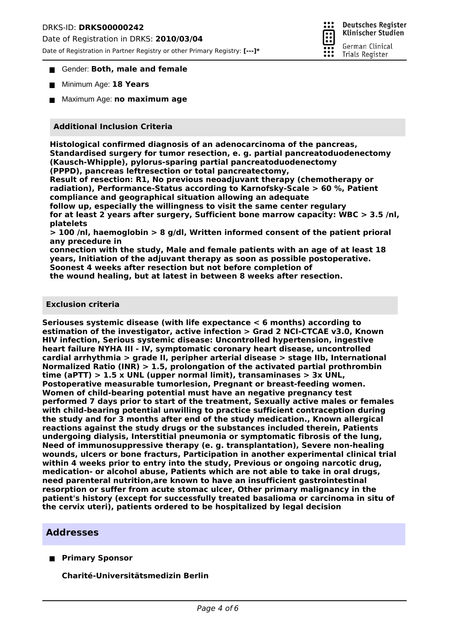### DRKS-ID: **DRKS00000242**

Date of Registration in DRKS: **2010/03/04**

Date of Registration in Partner Registry or other Primary Registry: **[---]\***



#### Gender: Both, male and female

- Minimum Age: **18 Years**
- Maximum Age: **no maximum age**

#### **Additional Inclusion Criteria**

**Histological confirmed diagnosis of an adenocarcinoma of the pancreas, Standardised surgery for tumor resection, e. g. partial pancreatoduodenectomy (Kausch-Whipple), pylorus-sparing partial pancreatoduodenectomy (PPPD), pancreas leftresection or total pancreatectomy,**

**Result of resection: R1, No previous neoadjuvant therapy (chemotherapy or radiation), Performance-Status according to Karnofsky-Scale > 60 %, Patient compliance and geographical situation allowing an adequate**

**follow up, especially the willingness to visit the same center regulary for at least 2 years after surgery, Sufficient bone marrow capacity: WBC > 3.5 /nl, platelets**

**> 100 /nl, haemoglobin > 8 g/dl, Written informed consent of the patient prioral any precedure in**

**connection with the study, Male and female patients with an age of at least 18 years, Initiation of the adjuvant therapy as soon as possible postoperative. Soonest 4 weeks after resection but not before completion of**

**the wound healing, but at latest in between 8 weeks after resection.**

#### **Exclusion criteria**

**Seriouses systemic disease (with life expectance < 6 months) according to estimation of the investigator, active infection > Grad 2 NCI-CTCAE v3.0, Known HIV infection, Serious systemic disease: Uncontrolled hypertension, ingestive heart failure NYHA III - IV, symptomatic coronary heart disease, uncontrolled cardial arrhythmia > grade II, peripher arterial disease > stage IIb, International Normalized Ratio (INR) > 1.5, prolongation of the activated partial prothrombin time (aPTT) > 1.5 x UNL (upper normal limit), transaminases > 3x UNL, Postoperative measurable tumorlesion, Pregnant or breast-feeding women. Women of child-bearing potential must have an negative pregnancy test performed 7 days prior to start of the treatment, Sexually active males or females with child-bearing potential unwilling to practice sufficient contraception during the study and for 3 months after end of the study medication., Known allergical reactions against the study drugs or the substances included therein, Patients undergoing dialysis, Interstitial pneumonia or symptomatic fibrosis of the lung, Need of immunosuppressive therapy (e. g. transplantation), Severe non-healing wounds, ulcers or bone fracturs, Participation in another experimental clinical trial within 4 weeks prior to entry into the study, Previous or ongoing narcotic drug, medication- or alcohol abuse, Patients which are not able to take in oral drugs, need parenteral nutrition,are known to have an insufficient gastrointestinal resorption or suffer from acute stomac ulcer, Other primary malignancy in the patient's history (except for successfully treated basalioma or carcinoma in situ of the cervix uteri), patients ordered to be hospitalized by legal decision**

### **Addresses**

**Primary Sponsor**

**Charité-Universitätsmedizin Berlin**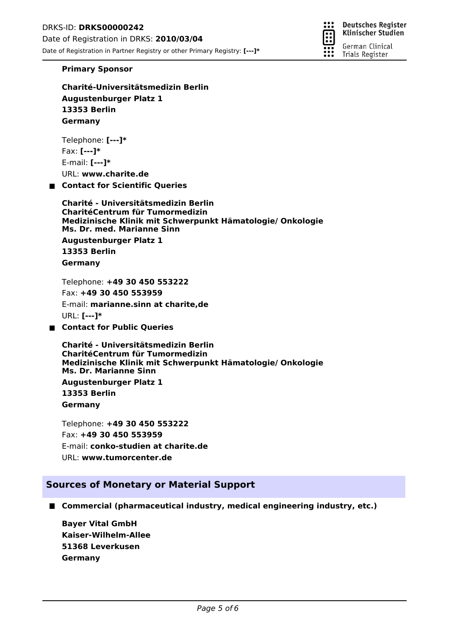**Deutsches Register** ። Klinischer Studien German Clinical Trials Register

#### **Primary Sponsor**

**Charité-Universitätsmedizin Berlin Augustenburger Platz 1 13353 Berlin Germany**

Telephone: **[---]\*** Fax: **[---]\*** E-mail: **[---]\*** URL: **www.charite.de**

**Contact for Scientific Queries**

**Ms. Dr. med. Marianne Sinn Charité - Universitätsmedizin Berlin CharitéCentrum für Tumormedizin Medizinische Klinik mit Schwerpunkt Hämatologie/ Onkologie Augustenburger Platz 1 13353 Berlin Germany**

Telephone: **+49 30 450 553222** Fax: **+49 30 450 553959** E-mail: **marianne.sinn at charite,de** URL: **[---]\* Contact for Public Queries**

**Ms. Dr. Marianne Sinn Charité - Universitätsmedizin Berlin CharitéCentrum für Tumormedizin Medizinische Klinik mit Schwerpunkt Hämatologie/ Onkologie Augustenburger Platz 1 13353 Berlin Germany**

Telephone: **+49 30 450 553222** Fax: **+49 30 450 553959** E-mail: **conko-studien at charite.de** URL: **www.tumorcenter.de**

### **Sources of Monetary or Material Support**

■ Commercial (pharmaceutical industry, medical engineering industry, etc.)

**Kaiser-Wilhelm-Allee Bayer Vital GmbH 51368 Leverkusen Germany**